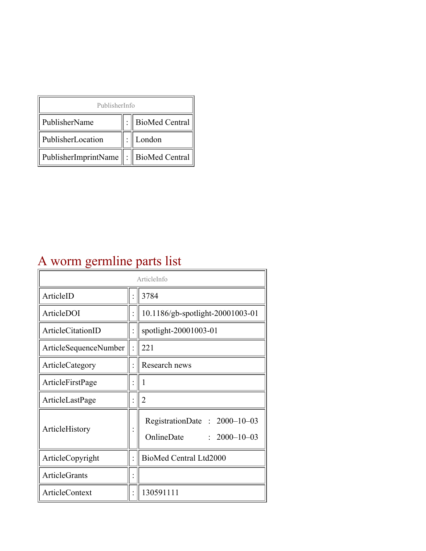| PublisherInfo                         |  |                    |  |  |
|---------------------------------------|--|--------------------|--|--|
| PublisherName                         |  | :   BioMed Central |  |  |
| PublisherLocation                     |  | London             |  |  |
| PublisherImprintName : BioMed Central |  |                    |  |  |

## A worm germline parts list

| ArticleInfo            |  |                                                                  |
|------------------------|--|------------------------------------------------------------------|
| ArticleID              |  | 3784                                                             |
| ArticleDOI             |  | 10.1186/gb-spotlight-20001003-01                                 |
| ArticleCitationID      |  | spotlight-20001003-01                                            |
| ArticleSequenceNumber  |  | 221                                                              |
| <b>ArticleCategory</b> |  | Research news                                                    |
| ArticleFirstPage       |  | 1                                                                |
| ArticleLastPage        |  | $\overline{2}$                                                   |
| ArticleHistory         |  | RegistrationDate: 2000-10-03<br>OnlineDate<br>$: 2000 - 10 - 03$ |
| ArticleCopyright       |  | BioMed Central Ltd2000                                           |
| ArticleGrants          |  |                                                                  |
| ArticleContext         |  | 130591111                                                        |